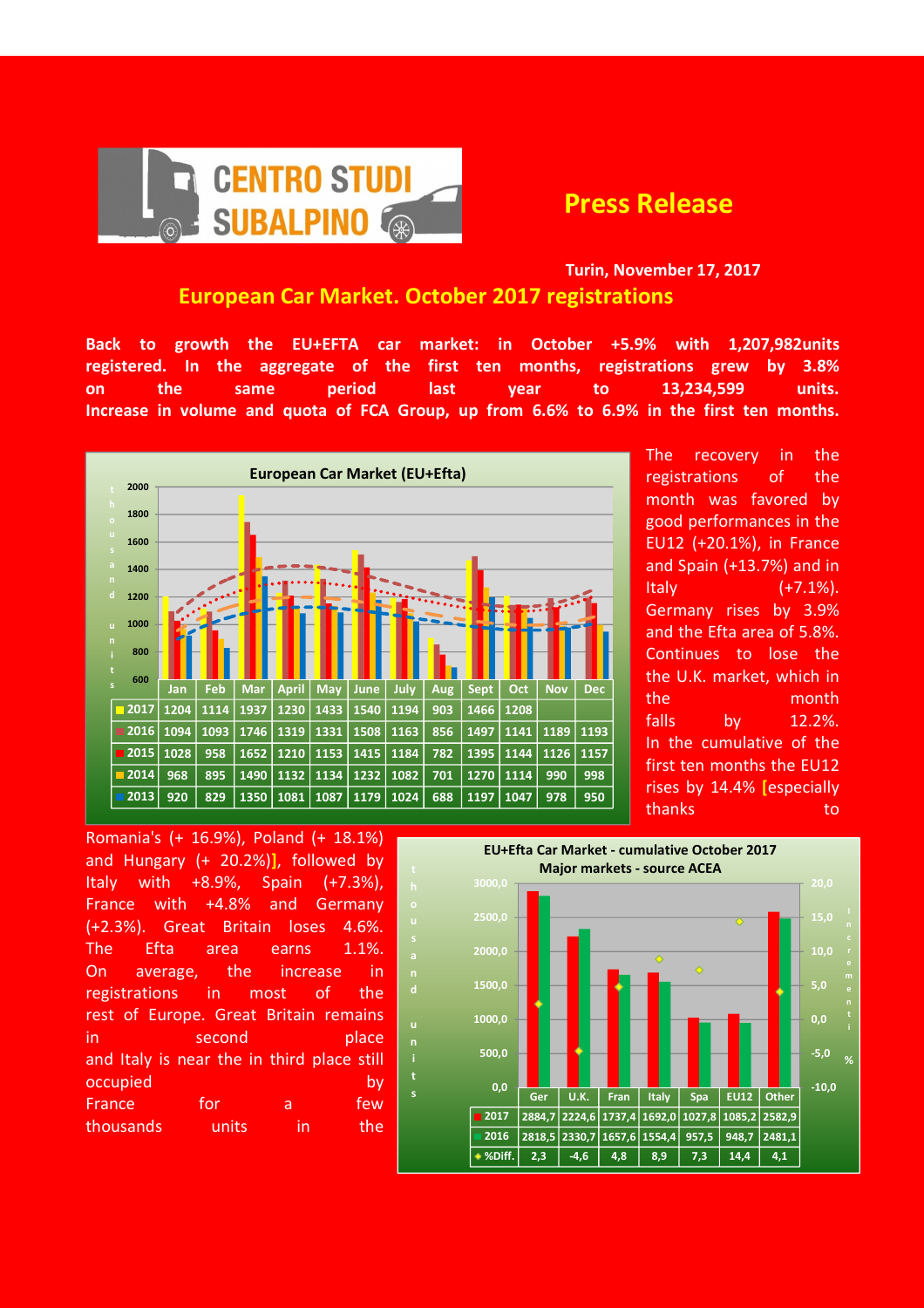

## Turin, November 17, 2017 European Car Market. October 2017 registrations

Back to growth the EU+EFTA car market: in October +5.9% with 1,207,982units registered. In the aggregate of the first ten months, registrations grew by 3.8% on the same period last year to 13,234,599 units. Increase in volume and quota of FCA Group, up from 6.6% to 6.9% in the first ten months.



u

s

The recovery in the registrations of the month was favored by good performances in the EU12 (+20.1%), in France and Spain (+13.7%) and in Italy (+7.1%). Germany rises by 3.9% and the Efta area of 5.8%. Continues to lose the the U.K. market, which in the month falls by 12.2%. In the cumulative of the first ten months the EU12 rises by 14.4% [especially thanks to to

Romania's (+ 16.9%), Poland (+ 18.1%) and Hungary (+ 20.2%)], followed by Italy with  $+8.9\%$ , Spain  $(+7.3\%)$ , France with +4.8% and Germany (+2.3%). Great Britain loses 4.6%. The Efta area earns 1.1%. On average, the increase in registrations in most of the rest of Europe. Great Britain remains in second place and Italy is near the in third place still occupied by the by-France for a few thousands units in the

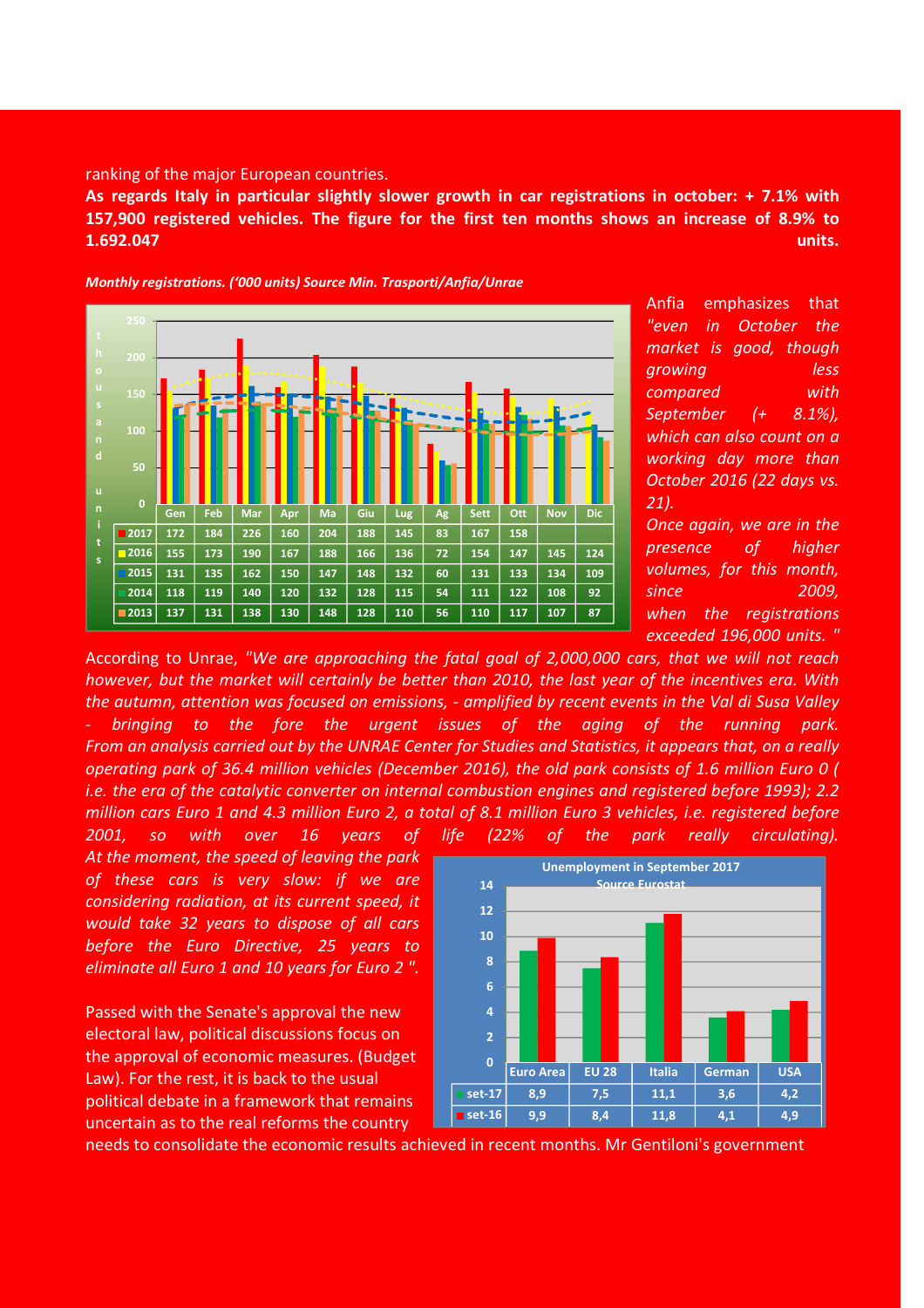## ranking of the major European countries.

As regards Italy in particular slightly slower growth in car registrations in october: + 7.1% with 157,900 registered vehicles. The figure for the first ten months shows an increase of 8.9% to 1.692.047 units.



Monthly registrations. ('000 units) Source Min. Trasporti/Anfia/Unrae

Anfia emphasizes that "even in October the market is good, though growing less compared with September (+ 8.1%), which can also count on a working day more than October 2016 (22 days vs. 21).

Once again, we are in the presence of higher volumes, for this month, since 2009, when the registrations exceeded 196,000 units. "

According to Unrae, "We are approaching the fatal goal of 2,000,000 cars, that we will not reach however, but the market will certainly be better than 2010, the last year of the incentives era. With the autumn, attention was focused on emissions, - amplified by recent events in the Val di Susa Valley bringing to the fore the urgent issues of the aging of the running park. From an analysis carried out by the UNRAE Center for Studies and Statistics, it appears that, on a really operating park of 36.4 million vehicles (December 2016), the old park consists of 1.6 million Euro 0 ( i.e. the era of the catalytic converter on internal combustion engines and registered before 1993); 2.2 million cars Euro 1 and 4.3 million Euro 2, a total of 8.1 million Euro 3 vehicles, i.e. registered before 2001, so with over 16 years of life (22% of the park really circulating).

At the moment, the speed of leaving the park of these cars is very slow: if we are considering radiation, at its current speed, it would take 32 years to dispose of all cars before the Euro Directive, 25 years to eliminate all Euro 1 and 10 years for Euro 2 ".

Passed with the Senate's approval the new electoral law, political discussions focus on the approval of economic measures. (Budget Law). For the rest, it is back to the usual political debate in a framework that remains uncertain as to the real reforms the country

6 8 10 12 14 Unemployment in September 2017 Source Eurosta



needs to consolidate the economic results achieved in recent months. Mr Gentiloni's government